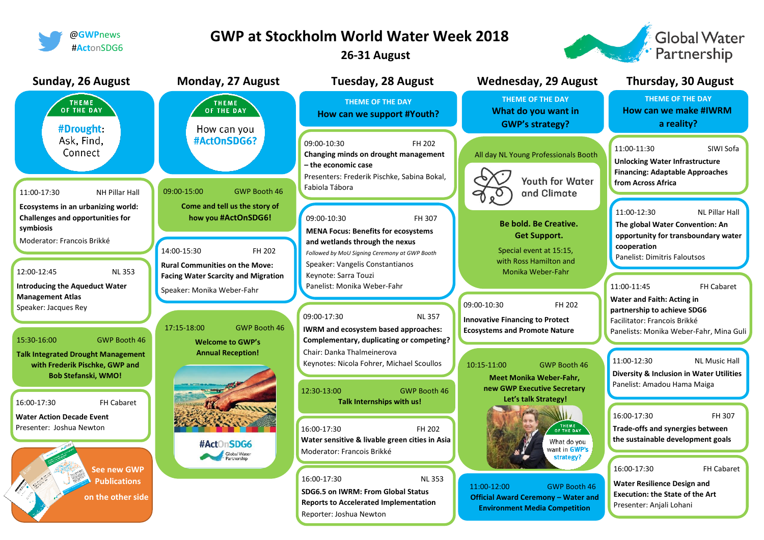

## **GWP at Stockholm World Water Week 2018**

**26-31 August**

**Global Water** 

**A** Partnership

Contractor of the Contractor